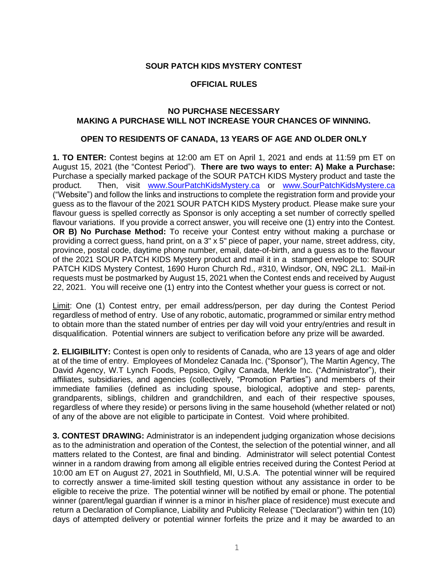## **SOUR PATCH KIDS MYSTERY CONTEST**

## **OFFICIAL RULES**

## **NO PURCHASE NECESSARY MAKING A PURCHASE WILL NOT INCREASE YOUR CHANCES OF WINNING.**

## **OPEN TO RESIDENTS OF CANADA, 13 YEARS OF AGE AND OLDER ONLY**

**1. TO ENTER:** Contest begins at 12:00 am ET on April 1, 2021 and ends at 11:59 pm ET on August 15, 2021 (the "Contest Period"). **There are two ways to enter: A) Make a Purchase:** Purchase a specially marked package of the SOUR PATCH KIDS Mystery product and taste the product. Then, visit [www.SourPatchKidsMystery.ca](http://www.sourpatchkidsmystery.ca/) or [www.SourPatchKidsMystere.ca](http://www.sourpatchkidsmystere.ca/) ("Website") and follow the links and instructions to complete the registration form and provide your guess as to the flavour of the 2021 SOUR PATCH KIDS Mystery product. Please make sure your flavour guess is spelled correctly as Sponsor is only accepting a set number of correctly spelled flavour variations. If you provide a correct answer, you will receive one (1) entry into the Contest. **OR B) No Purchase Method:** To receive your Contest entry without making a purchase or providing a correct guess, hand print, on a 3" x 5" piece of paper, your name, street address, city, province, postal code, daytime phone number, email, date-of-birth, and a guess as to the flavour of the 2021 SOUR PATCH KIDS Mystery product and mail it in a stamped envelope to: SOUR PATCH KIDS Mystery Contest, 1690 Huron Church Rd., #310, Windsor, ON, N9C 2L1. Mail-in requests must be postmarked by August 15, 2021 when the Contest ends and received by August 22, 2021. You will receive one (1) entry into the Contest whether your guess is correct or not.

Limit: One (1) Contest entry, per email address/person, per day during the Contest Period regardless of method of entry. Use of any robotic, automatic, programmed or similar entry method to obtain more than the stated number of entries per day will void your entry/entries and result in disqualification. Potential winners are subject to verification before any prize will be awarded.

**2. ELIGIBILITY:** Contest is open only to residents of Canada, who are 13 years of age and older at of the time of entry. Employees of Mondelez Canada Inc. ("Sponsor"), The Martin Agency, The David Agency, W.T Lynch Foods, Pepsico, Ogilvy Canada, Merkle Inc. ("Administrator"), their affiliates, subsidiaries, and agencies (collectively, "Promotion Parties") and members of their immediate families (defined as including spouse, biological, adoptive and step- parents, grandparents, siblings, children and grandchildren, and each of their respective spouses, regardless of where they reside) or persons living in the same household (whether related or not) of any of the above are not eligible to participate in Contest. Void where prohibited.

**3. CONTEST DRAWING:** Administrator is an independent judging organization whose decisions as to the administration and operation of the Contest, the selection of the potential winner, and all matters related to the Contest, are final and binding. Administrator will select potential Contest winner in a random drawing from among all eligible entries received during the Contest Period at 10:00 am ET on August 27, 2021 in Southfield, MI, U.S.A. The potential winner will be required to correctly answer a time-limited skill testing question without any assistance in order to be eligible to receive the prize. The potential winner will be notified by email or phone. The potential winner (parent/legal guardian if winner is a minor in his/her place of residence) must execute and return a Declaration of Compliance, Liability and Publicity Release ("Declaration") within ten (10) days of attempted delivery or potential winner forfeits the prize and it may be awarded to an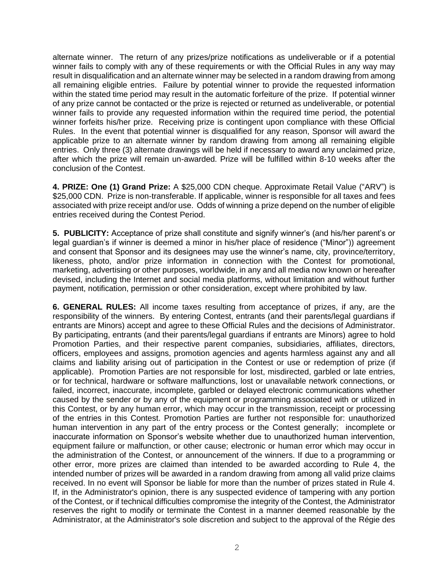alternate winner. The return of any prizes/prize notifications as undeliverable or if a potential winner fails to comply with any of these requirements or with the Official Rules in any way may result in disqualification and an alternate winner may be selected in a random drawing from among all remaining eligible entries. Failure by potential winner to provide the requested information within the stated time period may result in the automatic forfeiture of the prize. If potential winner of any prize cannot be contacted or the prize is rejected or returned as undeliverable, or potential winner fails to provide any requested information within the required time period, the potential winner forfeits his/her prize. Receiving prize is contingent upon compliance with these Official Rules. In the event that potential winner is disqualified for any reason, Sponsor will award the applicable prize to an alternate winner by random drawing from among all remaining eligible entries. Only three (3) alternate drawings will be held if necessary to award any unclaimed prize, after which the prize will remain un-awarded. Prize will be fulfilled within 8-10 weeks after the conclusion of the Contest.

**4. PRIZE: One (1) Grand Prize:** A \$25,000 CDN cheque. Approximate Retail Value ("ARV") is \$25,000 CDN. Prize is non-transferable. If applicable, winner is responsible for all taxes and fees associated with prize receipt and/or use. Odds of winning a prize depend on the number of eligible entries received during the Contest Period.

**5. PUBLICITY:** Acceptance of prize shall constitute and signify winner's (and his/her parent's or legal guardian's if winner is deemed a minor in his/her place of residence ("Minor")) agreement and consent that Sponsor and its designees may use the winner's name, city, province/territory, likeness, photo, and/or prize information in connection with the Contest for promotional, marketing, advertising or other purposes, worldwide, in any and all media now known or hereafter devised, including the Internet and social media platforms, without limitation and without further payment, notification, permission or other consideration, except where prohibited by law.

**6. GENERAL RULES:** All income taxes resulting from acceptance of prizes, if any, are the responsibility of the winners. By entering Contest, entrants (and their parents/legal guardians if entrants are Minors) accept and agree to these Official Rules and the decisions of Administrator. By participating, entrants (and their parents/legal guardians if entrants are Minors) agree to hold Promotion Parties, and their respective parent companies, subsidiaries, affiliates, directors, officers, employees and assigns, promotion agencies and agents harmless against any and all claims and liability arising out of participation in the Contest or use or redemption of prize (if applicable). Promotion Parties are not responsible for lost, misdirected, garbled or late entries, or for technical, hardware or software malfunctions, lost or unavailable network connections, or failed, incorrect, inaccurate, incomplete, garbled or delayed electronic communications whether caused by the sender or by any of the equipment or programming associated with or utilized in this Contest, or by any human error, which may occur in the transmission, receipt or processing of the entries in this Contest. Promotion Parties are further not responsible for: unauthorized human intervention in any part of the entry process or the Contest generally; incomplete or inaccurate information on Sponsor's website whether due to unauthorized human intervention, equipment failure or malfunction, or other cause; electronic or human error which may occur in the administration of the Contest, or announcement of the winners. If due to a programming or other error, more prizes are claimed than intended to be awarded according to Rule 4, the intended number of prizes will be awarded in a random drawing from among all valid prize claims received. In no event will Sponsor be liable for more than the number of prizes stated in Rule 4. If, in the Administrator's opinion, there is any suspected evidence of tampering with any portion of the Contest, or if technical difficulties compromise the integrity of the Contest, the Administrator reserves the right to modify or terminate the Contest in a manner deemed reasonable by the Administrator, at the Administrator's sole discretion and subject to the approval of the Régie des